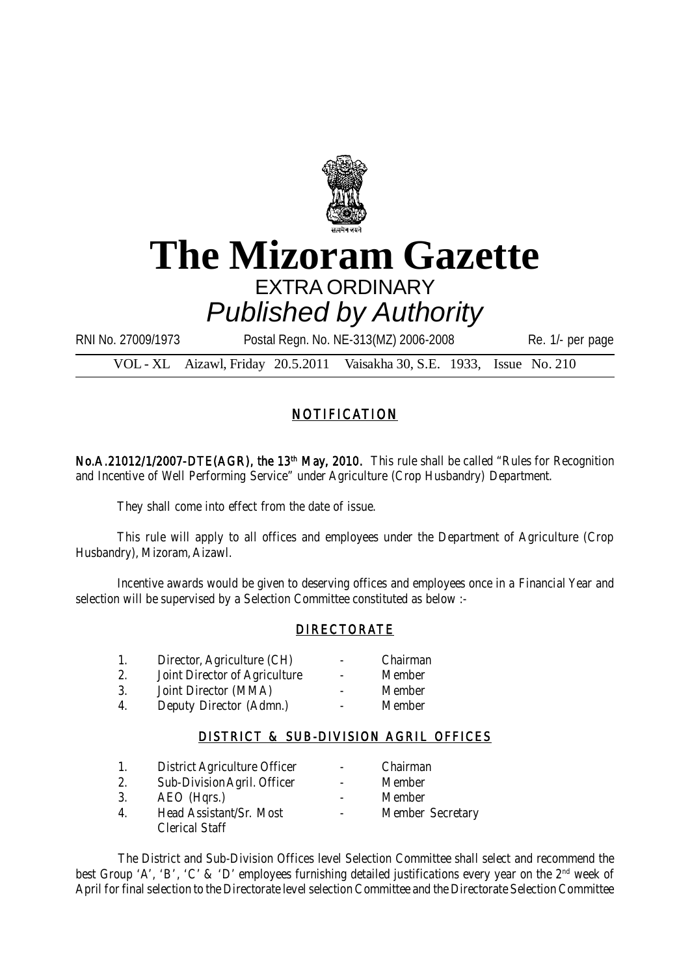

# **The Mizoram Gazette** EXTRA ORDINARY *Published by Authority*

RNI No. 27009/1973 Postal Regn. No. NE-313(MZ) 2006-2008 Re. 1/- per page

VOL - XL Aizawl, Friday 20.5.2011 Vaisakha 30, S.E. 1933, Issue No. 210

## NOTIFICATION

No.A.21012/1/2007-DTE(AGR), the 13<sup>th</sup> May, 2010. This rule shall be called "Rules for Recognition and Incentive of Well Performing Service" under Agriculture (Crop Husbandry) Department.

They shall come into effect from the date of issue.

This rule will apply to all offices and employees under the Department of Agriculture (Crop Husbandry), Mizoram, Aizawl.

Incentive awards would be given to deserving offices and employees once in a Financial Year and selection will be supervised by a Selection Committee constituted as below :-

## DIRECTORATE

| Director, Agriculture (CH)    | $\overline{\phantom{0}}$ | Chairman |
|-------------------------------|--------------------------|----------|
| Joint Director of Agriculture |                          | Member   |

- 3. Joint Director (MMA) Member
- 4. Deputy Director (Admn.) Member

## DISTRICT & SUB-DIVISION AGRIL OFFICES

| 1.               | District Agriculture Officer |                          | Chairman         |
|------------------|------------------------------|--------------------------|------------------|
| 2.               | Sub-Division Agril. Officer  | $\overline{\phantom{0}}$ | Member           |
| 3.               | AEO (Hgrs.)                  |                          | Member           |
| $\mathbf{4}_{1}$ | Head Assistant/Sr. Most      |                          | Member Secretary |
|                  | <b>Clerical Staff</b>        |                          |                  |

The District and Sub-Division Offices level Selection Committee shall select and recommend the best Group 'A', 'B', 'C' & 'D' employees furnishing detailed justifications every year on the 2<sup>nd</sup> week of April for final selection to the Directorate level selection Committee and the Directorate Selection Committee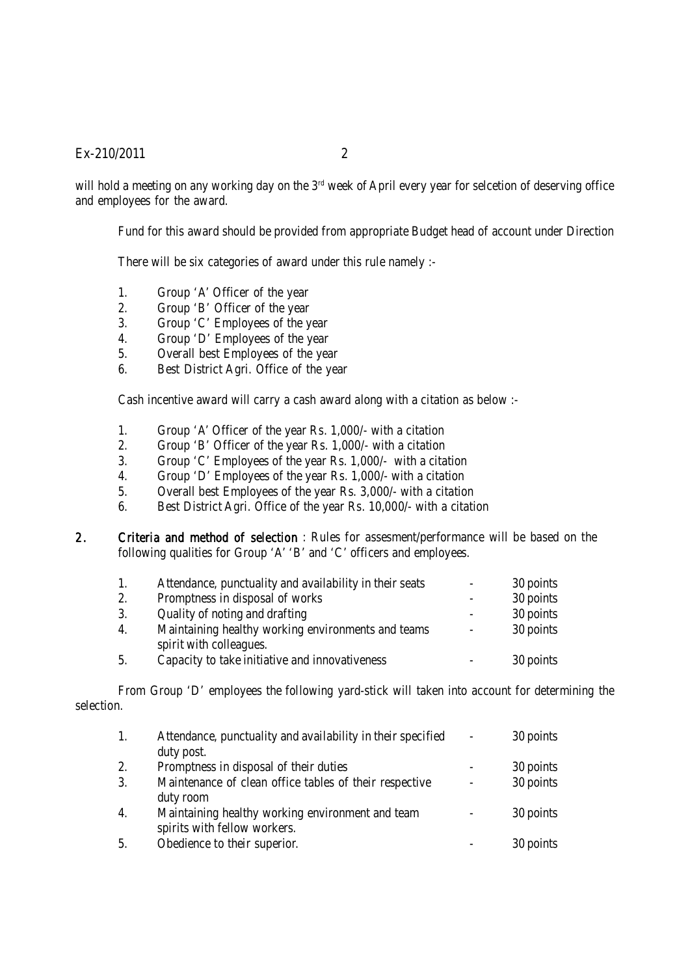#### Ex-210/2011 2

will hold a meeting on any working day on the 3<sup>rd</sup> week of April every year for selcetion of deserving office and employees for the award.

Fund for this award should be provided from appropriate Budget head of account under Direction

There will be six categories of award under this rule namely :-

- 1. Group 'A' Officer of the year
- 2. Group 'B' Officer of the year
- 3. Group 'C' Employees of the year
- 4. Group 'D' Employees of the year
- 5. Overall best Employees of the year
- 6. Best District Agri. Office of the year

Cash incentive award will carry a cash award along with a citation as below :-

- 1. Group 'A' Officer of the year Rs. 1,000/- with a citation
- 2. Group 'B' Officer of the year Rs. 1,000/- with a citation
- 3. Group 'C' Employees of the year Rs. 1,000/- with a citation
- 4. Group 'D' Employees of the year Rs. 1,000/- with a citation
- 5. Overall best Employees of the year Rs. 3,000/- with a citation
- 6. Best District Agri. Office of the year Rs. 10,000/- with a citation
- 2. Criteria and method of selection : Rules for assesment/performance will be based on the following qualities for Group 'A' 'B' and 'C' officers and employees.

| 1. | Attendance, punctuality and availability in their seats | $\overline{\phantom{a}}$ | 30 points |
|----|---------------------------------------------------------|--------------------------|-----------|
| 2. | Promptness in disposal of works                         |                          | 30 points |
| 3. | Quality of noting and drafting                          |                          | 30 points |
| 4. | Maintaining healthy working environments and teams      | $\overline{\phantom{0}}$ | 30 points |
|    | spirit with colleagues.                                 |                          |           |
| 5. | Capacity to take initiative and innovativeness          |                          | 30 points |

From Group 'D' employees the following yard-stick will taken into account for determining the selection.

| 1.               | Attendance, punctuality and availability in their specified                      | $\overline{\phantom{a}}$ | 30 points |
|------------------|----------------------------------------------------------------------------------|--------------------------|-----------|
|                  | duty post.                                                                       |                          |           |
| 2.               | Promptness in disposal of their duties                                           |                          | 30 points |
| 3.               | Maintenance of clean office tables of their respective<br>duty room              |                          | 30 points |
| $\overline{4}$ . | Maintaining healthy working environment and team<br>spirits with fellow workers. |                          | 30 points |
| 5.               | Obedience to their superior.                                                     |                          | 30 points |